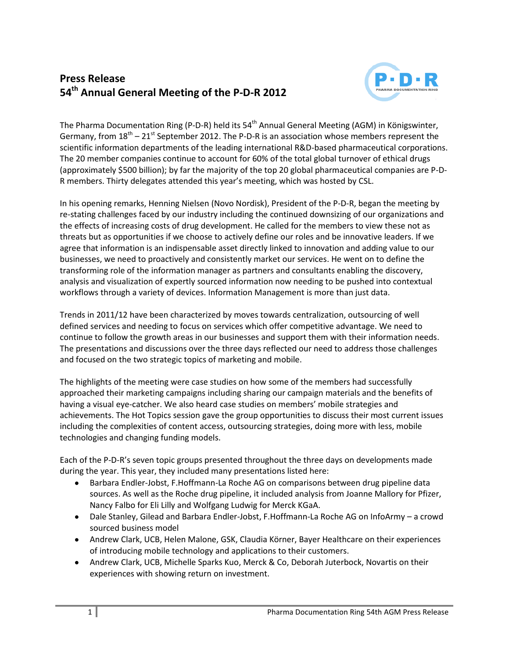## **Press Release 54th Annual General Meeting of the P-D-R 2012**



The Pharma Documentation Ring (P-D-R) held its 54<sup>th</sup> Annual General Meeting (AGM) in Königswinter, Germany, from  $18<sup>th</sup> - 21<sup>st</sup>$  September 2012. The P-D-R is an association whose members represent the scientific information departments of the leading international R&D-based pharmaceutical corporations. The 20 member companies continue to account for 60% of the total global turnover of ethical drugs (approximately \$500 billion); by far the majority of the top 20 global pharmaceutical companies are P-D-R members. Thirty delegates attended this year's meeting, which was hosted by CSL.

In his opening remarks, Henning Nielsen (Novo Nordisk), President of the P-D-R, began the meeting by re-stating challenges faced by our industry including the continued downsizing of our organizations and the effects of increasing costs of drug development. He called for the members to view these not as threats but as opportunities if we choose to actively define our roles and be innovative leaders. If we agree that information is an indispensable asset directly linked to innovation and adding value to our businesses, we need to proactively and consistently market our services. He went on to define the transforming role of the information manager as partners and consultants enabling the discovery, analysis and visualization of expertly sourced information now needing to be pushed into contextual workflows through a variety of devices. Information Management is more than just data.

Trends in 2011/12 have been characterized by moves towards centralization, outsourcing of well defined services and needing to focus on services which offer competitive advantage. We need to continue to follow the growth areas in our businesses and support them with their information needs. The presentations and discussions over the three days reflected our need to address those challenges and focused on the two strategic topics of marketing and mobile.

The highlights of the meeting were case studies on how some of the members had successfully approached their marketing campaigns including sharing our campaign materials and the benefits of having a visual eye-catcher. We also heard case studies on members' mobile strategies and achievements. The Hot Topics session gave the group opportunities to discuss their most current issues including the complexities of content access, outsourcing strategies, doing more with less, mobile technologies and changing funding models.

Each of the P-D-R's seven topic groups presented throughout the three days on developments made during the year. This year, they included many presentations listed here:

- $\bullet$ Barbara Endler-Jobst, F.Hoffmann-La Roche AG on comparisons between drug pipeline data sources. As well as the Roche drug pipeline, it included analysis from Joanne Mallory for Pfizer, Nancy Falbo for Eli Lilly and Wolfgang Ludwig for Merck KGaA.
- Dale Stanley, Gilead and Barbara Endler-Jobst, F.Hoffmann-La Roche AG on InfoArmy a crowd sourced business model
- Andrew Clark, UCB, Helen Malone, GSK, Claudia Körner, Bayer Healthcare on their experiences of introducing mobile technology and applications to their customers.
- Andrew Clark, UCB, Michelle Sparks Kuo, Merck & Co, Deborah Juterbock, Novartis on their experiences with showing return on investment.